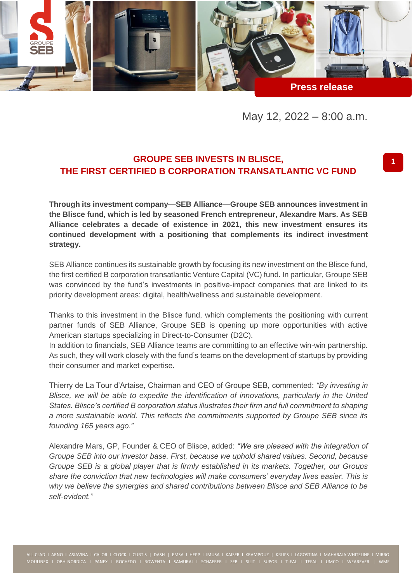

May 12, 2022 – 8:00 a.m.

# **GROUPE SEB INVESTS IN BLISCE, THE FIRST CERTIFIED B CORPORATION TRANSATLANTIC VC FUND**

**Through its investment company**—**SEB Alliance**—**Groupe SEB announces investment in the Blisce fund, which is led by seasoned French entrepreneur, Alexandre Mars. As SEB Alliance celebrates a decade of existence in 2021, this new investment ensures its continued development with a positioning that complements its indirect investment strategy.**

SEB Alliance continues its sustainable growth by focusing its new investment on the Blisce fund, the first certified B corporation transatlantic Venture Capital (VC) fund. In particular, Groupe SEB was convinced by the fund's investments in positive-impact companies that are linked to its priority development areas: digital, health/wellness and sustainable development.

Thanks to this investment in the Blisce fund, which complements the positioning with current partner funds of SEB Alliance, Groupe SEB is opening up more opportunities with active American startups specializing in Direct-to-Consumer (D2C).

In addition to financials, SEB Alliance teams are committing to an effective win-win partnership. As such, they will work closely with the fund's teams on the development of startups by providing their consumer and market expertise.

Thierry de La Tour d'Artaise, Chairman and CEO of Groupe SEB, commented: *"By investing in Blisce, we will be able to expedite the identification of innovations, particularly in the United States. Blisce's certified B corporation status illustrates their firm and full commitment to shaping a more sustainable world. This reflects the commitments supported by Groupe SEB since its founding 165 years ago."*

Alexandre Mars, GP, Founder & CEO of Blisce, added: *"We are pleased with the integration of Groupe SEB into our investor base. First, because we uphold shared values. Second, because Groupe SEB is a global player that is firmly established in its markets. Together, our Groups share the conviction that new technologies will make consumers' everyday lives easier. This is why we believe the synergies and shared contributions between Blisce and SEB Alliance to be self-evident."*